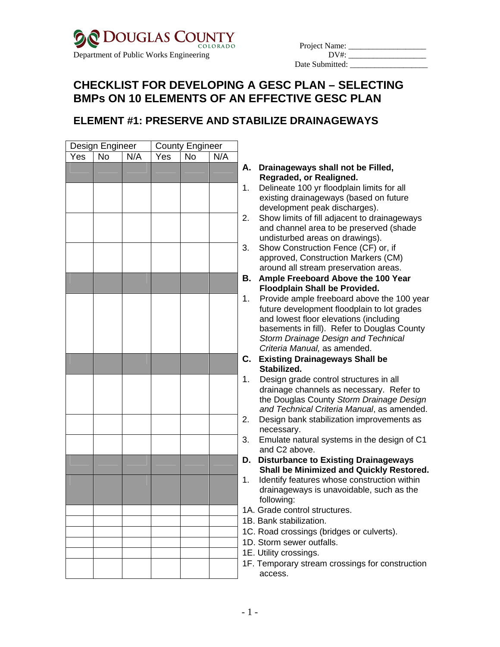

| Project Name:   |  |
|-----------------|--|
| DV#             |  |
| Date Submitted: |  |

# **CHECKLIST FOR DEVELOPING A GESC PLAN – SELECTING BMPs ON 10 ELEMENTS OF AN EFFECTIVE GESC PLAN**

### **ELEMENT #1: PRESERVE AND STABILIZE DRAINAGEWAYS**

|                |     | <b>County Engineer</b> |     | Design Engineer |                         |     |  |
|----------------|-----|------------------------|-----|-----------------|-------------------------|-----|--|
|                | N/A | $\overline{N}$         | Yes | N/A             | $\overline{N_{\Omega}}$ | Yes |  |
| А.             |     |                        |     |                 |                         |     |  |
| 1 <sub>1</sub> |     |                        |     |                 |                         |     |  |
|                |     |                        |     |                 |                         |     |  |
| 2.             |     |                        |     |                 |                         |     |  |
| 3.             |     |                        |     |                 |                         |     |  |
|                |     |                        |     |                 |                         |     |  |
| В.             |     |                        |     |                 |                         |     |  |
| 1.             |     |                        |     |                 |                         |     |  |
|                |     |                        |     |                 |                         |     |  |
|                |     |                        |     |                 |                         |     |  |
|                |     |                        |     |                 |                         |     |  |
| C.             |     |                        |     |                 |                         |     |  |
| 1 <sub>1</sub> |     |                        |     |                 |                         |     |  |
|                |     |                        |     |                 |                         |     |  |
| 2.             |     |                        |     |                 |                         |     |  |
| 3.             |     |                        |     |                 |                         |     |  |
|                |     |                        |     |                 |                         |     |  |
| D.             |     |                        |     |                 |                         |     |  |
| 1.             |     |                        |     |                 |                         |     |  |
|                |     |                        |     |                 |                         |     |  |
| 1A<br>1B       |     |                        |     |                 |                         |     |  |
| 1 <sup>C</sup> |     |                        |     |                 |                         |     |  |
| 1D             |     |                        |     |                 |                         |     |  |
| 1E             |     |                        |     |                 |                         |     |  |
| 1F             |     |                        |     |                 |                         |     |  |

#### **A. Drainageways shall not be Filled, Regraded, or Realigned.**

- Delineate 100 yr floodplain limits for all existing drainageways (based on future development peak discharges).
- Show limits of fill adjacent to drainageways and channel area to be preserved (shade undisturbed areas on drawings).
- Show Construction Fence (CF) or, if approved, Construction Markers (CM) around all stream preservation areas.
- **B. Ample Freeboard Above the 100 Year Floodplain Shall be Provided.**
- Provide ample freeboard above the 100 year future development floodplain to lot grades and lowest floor elevations (including basements in fill). Refer to Douglas County *Storm Drainage Design and Technical Criteria Manual,* as amended.
- **C. Existing Drainageways Shall be Stabilized.**
- Design grade control structures in all drainage channels as necessary. Refer to the Douglas County *Storm Drainage Design and Technical Criteria Manual*, as amended.
- Design bank stabilization improvements as necessary.
- Emulate natural systems in the design of C1 and C2 above.
- **Disturbance to Existing Drainageways Shall be Minimized and Quickly Restored.**
- Identify features whose construction within drainageways is unavoidable, such as the following:
- . Grade control structures.
- . Bank stabilization.
- . Road crossings (bridges or culverts).
- . Storm sewer outfalls.
- . Utility crossings.
- . Temporary stream crossings for construction access.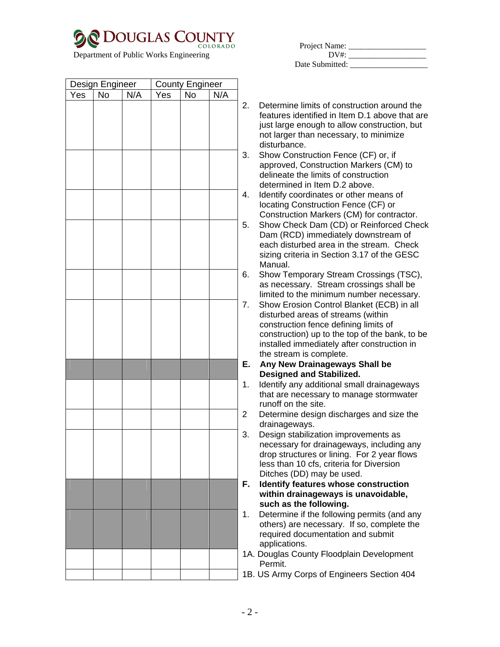

|                                           |     |     | Department of Public Works Engineering |     |     |         | $DV^*$                                                                                                                                                                                                  |
|-------------------------------------------|-----|-----|----------------------------------------|-----|-----|---------|---------------------------------------------------------------------------------------------------------------------------------------------------------------------------------------------------------|
|                                           |     |     |                                        |     |     |         | Date Submitted:                                                                                                                                                                                         |
| Design Engineer<br><b>County Engineer</b> |     |     |                                        |     |     |         |                                                                                                                                                                                                         |
| Yes                                       | No. | N/A | Yes                                    | No. | N/A |         |                                                                                                                                                                                                         |
|                                           |     |     |                                        |     |     | $2_{-}$ | Determine limits of construction around the<br>features identified in Item D.1 above that are<br>just large enough to allow construction, but<br>not larger than necessary, to minimize<br>disturbance. |
|                                           |     |     |                                        |     |     | 3.      | Show Construction Fence (CF) or, if<br>approved, Construction Markers (CM) to<br>delineate the limits of construction<br>determined in Item D.2 above.                                                  |
|                                           |     |     |                                        |     |     | 4.      | Identify coordinates or other means of<br>locating Construction Fence (CF) or<br>Construction Markers (CM) for contractor.                                                                              |
|                                           |     |     |                                        |     |     | 5.      | Show Check Dam (CD) or Reinforced Check<br>Dam (RCD) immediately downstream of                                                                                                                          |

- d Check Dam (RCD) immediately downstream of each disturbed area in the stream. Check sizing criteria in Section 3.17 of the GESC Manual.
- 6. Show Temporary Stream Crossings (TSC), as necessary. Stream crossings shall be limited to the minimum number necessary.
- 7. Show Erosion Control Blanket (ECB) in all disturbed areas of streams (within construction fence defining limits of construction) up to the top of the bank, to be installed immediately after construction in the stream is complete.
- **E. Any New Drainageways Shall be Designed and Stabilized.**
- 1. Identify any additional small drainageways that are necessary to manage stormwater runoff on the site.
- 2 Determine design discharges and size the drainageways.
- 3. Design stabilization improvements as necessary for drainageways, including any drop structures or lining. For 2 year flows less than 10 cfs, criteria for Diversion Ditches (DD) may be used.
- **F. Identify features whose construction within drainageways is unavoidable, such as the following.**
- 1. Determine if the following permits (and any others) are necessary. If so, complete the required documentation and submit applications.
- 1A. Douglas County Floodplain Development Permit.
- 1B. US Army Corps of Engineers Section 404

|  | - 2 - |  |
|--|-------|--|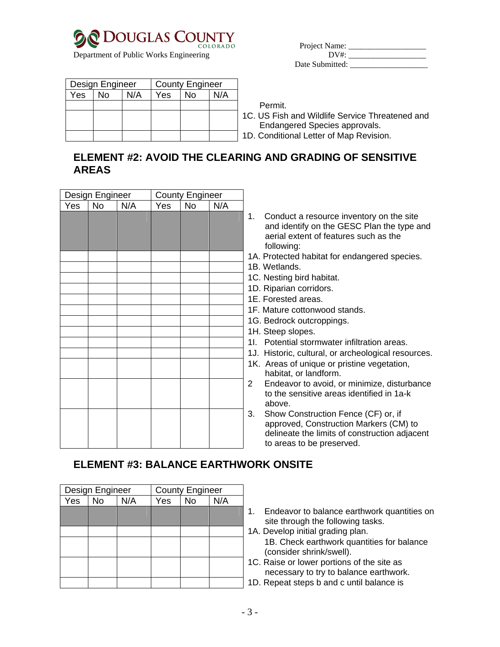

Department of Public Works Engineering

| Project Name:   |  |
|-----------------|--|
| DV#             |  |
| Date Submitted: |  |

|     | Design Engineer |     |     | <b>County Engineer</b> |     |  |
|-----|-----------------|-----|-----|------------------------|-----|--|
| Yes | No              | N/A | Yes | Nο                     | N/A |  |
|     |                 |     |     |                        |     |  |
|     |                 |     |     |                        |     |  |
|     |                 |     |     |                        |     |  |
|     |                 |     |     |                        |     |  |

Permit.

1C. US Fish and Wildlife Service Threatened and Endangered Species approvals. D. Conditional Letter of Map Revision.

### **ELEMENT #2: AVOID THE CLEARING AND GRADING OF SENSITIVE AREAS**

|     | Design Engineer  |  | <b>County Engineer</b> |                |     |                                                                                                                                                                   |
|-----|------------------|--|------------------------|----------------|-----|-------------------------------------------------------------------------------------------------------------------------------------------------------------------|
| Yes | <b>No</b><br>N/A |  | Yes                    | N <sub>o</sub> | N/A |                                                                                                                                                                   |
|     |                  |  |                        |                |     | Conduct a resource inventory on the site<br>1.<br>and identify on the GESC Plan the type and<br>aerial extent of features such as the<br>following:               |
|     |                  |  |                        |                |     | 1A. Protected habitat for endangered species.                                                                                                                     |
|     |                  |  |                        |                |     | 1B. Wetlands.                                                                                                                                                     |
|     |                  |  |                        |                |     | 1C. Nesting bird habitat.                                                                                                                                         |
|     |                  |  |                        |                |     | 1D. Riparian corridors.                                                                                                                                           |
|     |                  |  |                        |                |     | 1E. Forested areas.                                                                                                                                               |
|     |                  |  |                        |                |     | 1F. Mature cottonwood stands.                                                                                                                                     |
|     |                  |  |                        |                |     | 1G. Bedrock outcroppings.                                                                                                                                         |
|     |                  |  |                        |                |     | 1H. Steep slopes.                                                                                                                                                 |
|     |                  |  |                        |                |     | 11. Potential stormwater infiltration areas.                                                                                                                      |
|     |                  |  |                        |                |     | 1J. Historic, cultural, or archeological resources.                                                                                                               |
|     |                  |  |                        |                |     | 1K. Areas of unique or pristine vegetation,<br>habitat, or landform.                                                                                              |
|     |                  |  |                        |                |     | Endeavor to avoid, or minimize, disturbance<br>2<br>to the sensitive areas identified in 1a-k<br>above.                                                           |
|     |                  |  |                        |                |     | Show Construction Fence (CF) or, if<br>3.<br>approved, Construction Markers (CM) to<br>delineate the limits of construction adjacent<br>to areas to be preserved. |

# **ELEMENT #3: BALANCE EARTHWORK ONSITE**

|                  | Design Engineer |     | <b>County Engineer</b> |           |     |  |
|------------------|-----------------|-----|------------------------|-----------|-----|--|
| $Y\overline{es}$ | <b>No</b>       | N/A | Yes                    | <b>No</b> | N/A |  |
|                  |                 |     |                        |           |     |  |
|                  |                 |     |                        |           |     |  |
|                  |                 |     |                        |           |     |  |
|                  |                 |     |                        |           |     |  |
|                  |                 |     |                        |           |     |  |
|                  |                 |     |                        |           |     |  |
|                  |                 |     |                        |           |     |  |
|                  |                 |     |                        |           |     |  |

- 1. Endeavor to balance earthwork quantities on site through the following tasks.
- 1A. Develop initial grading plan. 1B. Check earthwork quantities for balance (consider shrink/swell).
- 1C. Raise or lower portions of the site as necessary to try to balance earthwork.
- 1D. Repeat steps b and c until balance is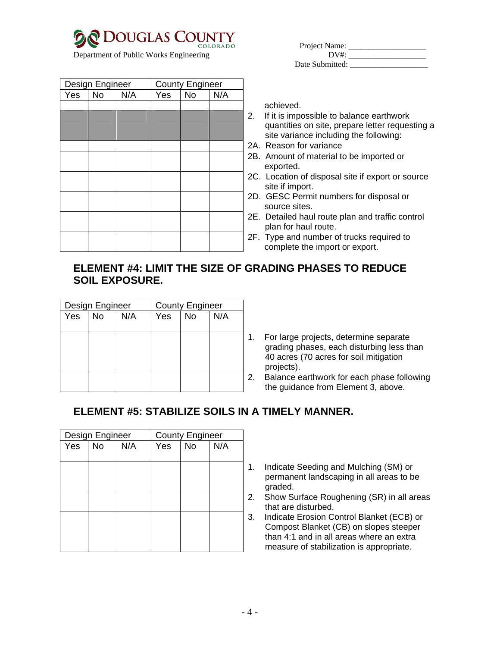

Department of Public Works Engineering

| Project Name:   |  |
|-----------------|--|
| DV#:            |  |
| Date Submitted: |  |

| Design Engineer |           |     |     | <b>County Engineer</b> |     |               |
|-----------------|-----------|-----|-----|------------------------|-----|---------------|
| Yes             | <b>No</b> | N/A | Yes | <b>No</b>              | N/A |               |
|                 |           |     |     |                        |     |               |
|                 |           |     |     |                        |     | 2             |
|                 |           |     |     |                        |     |               |
|                 |           |     |     |                        |     |               |
|                 |           |     |     |                        |     | $\frac{2}{3}$ |
|                 |           |     |     |                        |     | $\tilde{c}$   |
|                 |           |     |     |                        |     | 2             |
|                 |           |     |     |                        |     | $\tilde{c}$   |
|                 |           |     |     |                        |     | $\tilde{z}$   |

achieved.

- 2. If it is impossible to balance earthwork quantities on site, prepare letter requesting a site variance including the following:
- 2A. Reason for variance
- 2B. Amount of material to be imported or exported.
- 2C. Location of disposal site if export or source site if import.
- 2D. GESC Permit numbers for disposal or source sites.
- 2E. Detailed haul route plan and traffic control plan for haul route.
- 2F. Type and number of trucks required to complete the import or export.

### **ELEMENT #4: LIMIT THE SIZE OF GRADING PHASES TO REDUCE SOIL EXPOSURE.**

|     | Design Engineer |     | <b>County Engineer</b> |           |     |   |
|-----|-----------------|-----|------------------------|-----------|-----|---|
| Yes | <b>No</b>       | N/A | Yes                    | <b>No</b> | N/A |   |
|     |                 |     |                        |           |     |   |
|     |                 |     |                        |           |     |   |
|     |                 |     |                        |           |     |   |
|     |                 |     |                        |           |     |   |
|     |                 |     |                        |           |     |   |
|     |                 |     |                        |           |     | 2 |
|     |                 |     |                        |           |     |   |

. For large projects, determine separate grading phases, each disturbing less than 40 acres (70 acres for soil mitigation projects).

Balance earthwork for each phase following the guidance from Element 3, above.

## **ELEMENT #5: STABILIZE SOILS IN A TIMELY MANNER.**

|     | Design Engineer |     | <b>County Engineer</b> |           |     |   |
|-----|-----------------|-----|------------------------|-----------|-----|---|
| Yes | <b>No</b>       | N/A | Yes                    | <b>No</b> | N/A |   |
|     |                 |     |                        |           |     |   |
|     |                 |     |                        |           |     | ۴ |
|     |                 |     |                        |           |     |   |
|     |                 |     |                        |           |     | ź |
|     |                 |     |                        |           |     |   |
|     |                 |     |                        |           |     | á |
|     |                 |     |                        |           |     |   |
|     |                 |     |                        |           |     |   |
|     |                 |     |                        |           |     |   |

- 1. Indicate Seeding and Mulching (SM) or permanent landscaping in all areas to be graded.
- 2. Show Surface Roughening (SR) in all areas that are disturbed.
- 3. Indicate Erosion Control Blanket (ECB) or Compost Blanket (CB) on slopes steeper than 4:1 and in all areas where an extra measure of stabilization is appropriate.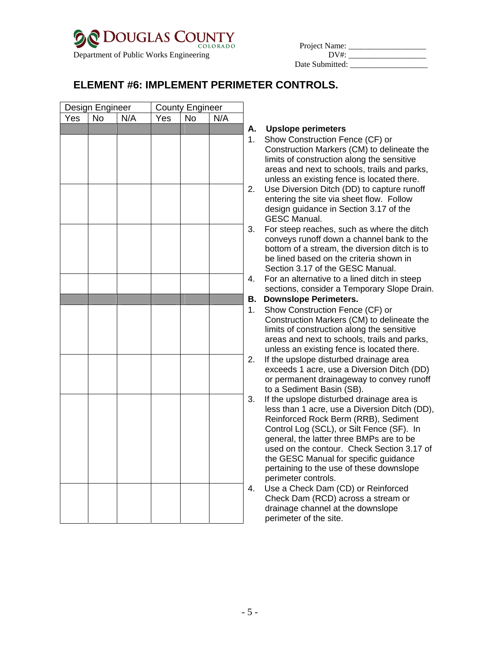| <b>DOUGLAS COUNTY</b>                  |          |               |  |
|----------------------------------------|----------|---------------|--|
|                                        | COLORADO | Project Name: |  |
| Department of Public Works Engineering |          | DV#+          |  |

| Project Name:   |  |
|-----------------|--|
| DV#             |  |
| Date Submitted: |  |

### **ELEMENT #6: IMPLEMENT PERIMETER CONTROLS.**

| Design Engineer<br>Yes   No   N/A |  | County Engineer<br>Yes No N/A |     |  |  |                |
|-----------------------------------|--|-------------------------------|-----|--|--|----------------|
| $\overline{Yes}$                  |  |                               | Yes |  |  |                |
|                                   |  |                               |     |  |  | A              |
|                                   |  |                               |     |  |  | $\mathbf 1$    |
|                                   |  |                               |     |  |  |                |
|                                   |  |                               |     |  |  |                |
|                                   |  |                               |     |  |  |                |
|                                   |  |                               |     |  |  |                |
|                                   |  |                               |     |  |  | $\mathbf{2}$   |
|                                   |  |                               |     |  |  |                |
|                                   |  |                               |     |  |  |                |
|                                   |  |                               |     |  |  | 3.             |
|                                   |  |                               |     |  |  |                |
|                                   |  |                               |     |  |  |                |
|                                   |  |                               |     |  |  |                |
|                                   |  |                               |     |  |  |                |
|                                   |  |                               |     |  |  | $\overline{4}$ |
|                                   |  |                               |     |  |  |                |
|                                   |  |                               |     |  |  | B              |
|                                   |  |                               |     |  |  | $\mathbf 1$    |
|                                   |  |                               |     |  |  |                |
|                                   |  |                               |     |  |  |                |
|                                   |  |                               |     |  |  |                |
|                                   |  |                               |     |  |  | $\mathbf{2}$   |
|                                   |  |                               |     |  |  |                |
|                                   |  |                               |     |  |  |                |
|                                   |  |                               |     |  |  |                |
|                                   |  |                               |     |  |  | 3.             |
|                                   |  |                               |     |  |  |                |
|                                   |  |                               |     |  |  |                |
|                                   |  |                               |     |  |  |                |
|                                   |  |                               |     |  |  |                |
|                                   |  |                               |     |  |  |                |
|                                   |  |                               |     |  |  |                |
|                                   |  |                               |     |  |  |                |
|                                   |  |                               |     |  |  | $\overline{4}$ |
|                                   |  |                               |     |  |  |                |
|                                   |  |                               |     |  |  |                |
|                                   |  |                               |     |  |  |                |

#### **A. Upslope perimeters**

- Show Construction Fence (CF) or Construction Markers (CM) to delineate the limits of construction along the sensitive areas and next to schools, trails and parks, unless an existing fence is located there.
- Use Diversion Ditch (DD) to capture runoff entering the site via sheet flow. Follow design guidance in Section 3.17 of the GESC Manual.
- For steep reaches, such as where the ditch conveys runoff down a channel bank to the bottom of a stream, the diversion ditch is to be lined based on the criteria shown in Section 3.17 of the GESC Manual.
- For an alternative to a lined ditch in steep sections, consider a Temporary Slope Drain.

#### **B. Downslope Perimeters.**

- Show Construction Fence (CF) or Construction Markers (CM) to delineate the limits of construction along the sensitive areas and next to schools, trails and parks, unless an existing fence is located there.
- If the upslope disturbed drainage area exceeds 1 acre, use a Diversion Ditch (DD) or permanent drainageway to convey runoff to a Sediment Basin (SB).
- If the upslope disturbed drainage area is less than 1 acre, use a Diversion Ditch (DD), Reinforced Rock Berm (RRB), Sediment Control Log (SCL), or Silt Fence (SF). In general, the latter three BMPs are to be used on the contour. Check Section 3.17 of the GESC Manual for specific guidance pertaining to the use of these downslope perimeter controls.
- Use a Check Dam (CD) or Reinforced Check Dam (RCD) across a stream or drainage channel at the downslope perimeter of the site.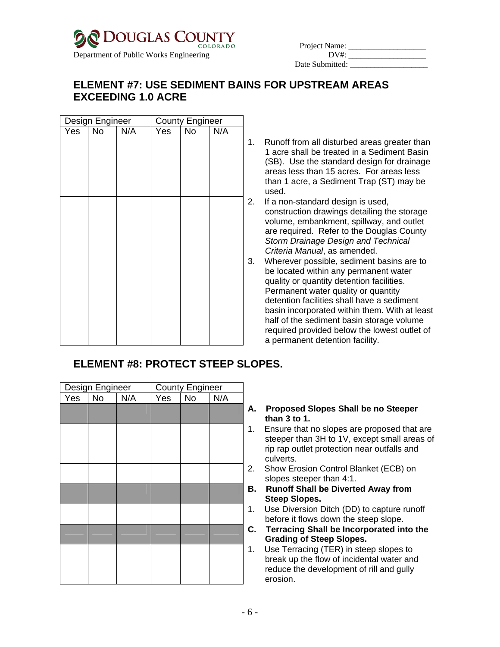

| Project Name:   |  |
|-----------------|--|
| DV#             |  |
| Date Submitted: |  |

### **ELEMENT #7: USE SEDIMENT BAINS FOR UPSTREAM AREAS EXCEEDING 1.0 ACRE**

| Design Engineer |    |     |     | <b>County Engineer</b> |     |                      |
|-----------------|----|-----|-----|------------------------|-----|----------------------|
| Yes             | No | N/A | Yes | <b>No</b>              | N/A |                      |
|                 |    |     |     |                        |     | 1                    |
|                 |    |     |     |                        |     |                      |
|                 |    |     |     |                        |     |                      |
|                 |    |     |     |                        |     |                      |
|                 |    |     |     |                        |     |                      |
|                 |    |     |     |                        |     | $\tilde{\mathbf{z}}$ |
|                 |    |     |     |                        |     |                      |
|                 |    |     |     |                        |     |                      |
|                 |    |     |     |                        |     |                      |
|                 |    |     |     |                        |     |                      |
|                 |    |     |     |                        |     | Ć                    |
|                 |    |     |     |                        |     |                      |
|                 |    |     |     |                        |     |                      |
|                 |    |     |     |                        |     |                      |
|                 |    |     |     |                        |     |                      |
|                 |    |     |     |                        |     |                      |
|                 |    |     |     |                        |     |                      |
|                 |    |     |     |                        |     |                      |

Runoff from all disturbed areas greater than 1 acre shall be treated in a Sediment Basin (SB). Use the standard design for drainage areas less than 15 acres. For areas less than 1 acre, a Sediment Trap (ST) may be used.

- 2. If a non-standard design is used, construction drawings detailing the storage volume, embankment, spillway, and outlet are required. Refer to the Douglas County *Storm Drainage Design and Technical Criteria Manual*, as amended.
- 3. Wherever possible, sediment basins are to be located within any permanent water quality or quantity detention facilities. Permanent water quality or quantity detention facilities shall have a sediment basin incorporated within them. With at least half of the sediment basin storage volume required provided below the lowest outlet of a permanent detention facility.

## **ELEMENT #8: PROTECT STEEP SLOPES.**

| Design Engineer<br>Yes |  |     |                    |                               |
|------------------------|--|-----|--------------------|-------------------------------|
| $\overline{N}$         |  | Yes | $\overline{N_{0}}$ |                               |
|                        |  |     |                    | F                             |
|                        |  |     |                    | 1                             |
|                        |  |     |                    |                               |
|                        |  |     |                    | $\overline{c}$                |
|                        |  |     |                    | E                             |
|                        |  |     |                    | 1                             |
|                        |  |     |                    | $\mathsf{C}$                  |
|                        |  |     |                    | 1                             |
|                        |  |     |                    |                               |
|                        |  | N/A |                    | <b>County Engineer</b><br>N/A |

#### **A. Proposed Slopes Shall be no Steeper than 3 to 1.**

- . Ensure that no slopes are proposed that are steeper than 3H to 1V, except small areas of rip rap outlet protection near outfalls and culverts.
- 2. Show Erosion Control Blanket (ECB) on slopes steeper than 4:1.
- **B. Runoff Shall be Diverted Away from Steep Slopes.**
- 1. Use Diversion Ditch (DD) to capture runoff before it flows down the steep slope.
- **C. Terracing Shall be Incorporated into the Grading of Steep Slopes.**
- Use Terracing (TER) in steep slopes to break up the flow of incidental water and reduce the development of rill and gully erosion.